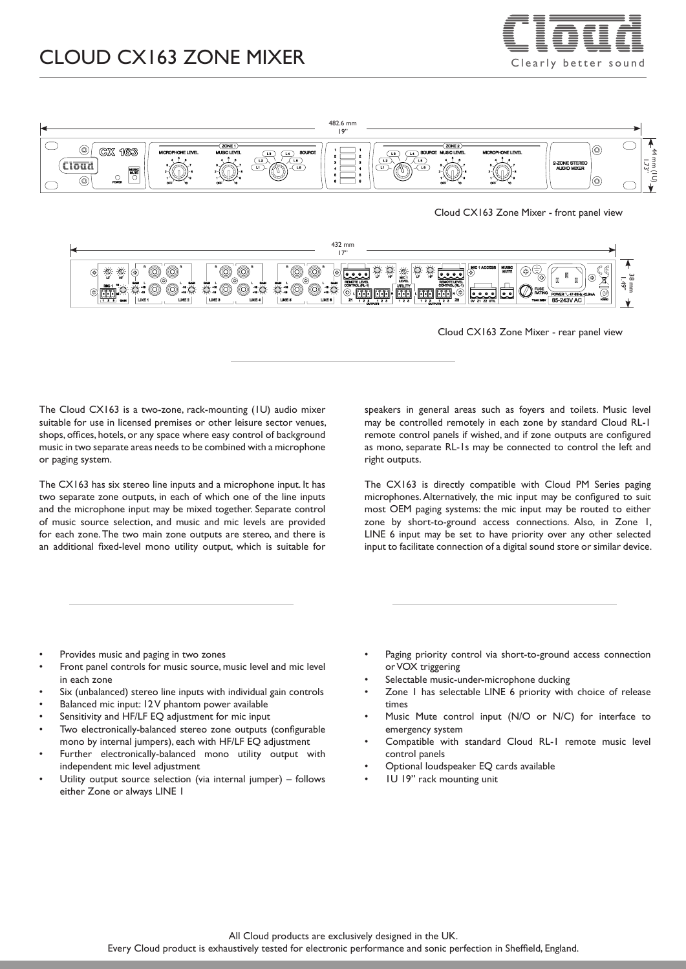# CLOUD CX163 ZONE MIXER  $\equiv \equiv \equiv \equiv \equiv$





Cloud CX163 Zone Mixer - front panel view



Cloud CX163 Zone Mixer - rear panel view

The Cloud CX163 is a two-zone, rack-mounting (1U) audio mixer suitable for use in licensed premises or other leisure sector venues, shops, offices, hotels, or any space where easy control of background music in two separate areas needs to be combined with a microphone or paging system.

The CX163 has six stereo line inputs and a microphone input. It has two separate zone outputs, in each of which one of the line inputs and the microphone input may be mixed together. Separate control of music source selection, and music and mic levels are provided for each zone. The two main zone outputs are stereo, and there is an additional fixed-level mono utility output, which is suitable for

speakers in general areas such as foyers and toilets. Music level may be controlled remotely in each zone by standard Cloud RL-1 remote control panels if wished, and if zone outputs are configured as mono, separate RL-1s may be connected to control the left and right outputs.

The CX163 is directly compatible with Cloud PM Series paging microphones. Alternatively, the mic input may be configured to suit most OEM paging systems: the mic input may be routed to either zone by short-to-ground access connections. Also, in Zone 1, LINE 6 input may be set to have priority over any other selected input to facilitate connection of a digital sound store or similar device.

- Provides music and paging in two zones
- Front panel controls for music source, music level and mic level in each zone
- Six (unbalanced) stereo line inputs with individual gain controls
- Balanced mic input: I2V phantom power available
- Sensitivity and HF/LF EQ adjustment for mic input
- Two electronically-balanced stereo zone outputs (configurable mono by internal jumpers), each with HF/LF EQ adjustment
- Further electronically-balanced mono utility output with independent mic level adjustment
- Utility output source selection (via internal jumper) follows either Zone or always LINE 1
- Paging priority control via short-to-ground access connection or VOX triggering
- Selectable music-under-microphone ducking
- Zone I has selectable LINE 6 priority with choice of release times
- Music Mute control input (N/O or N/C) for interface to emergency system
- Compatible with standard Cloud RL-1 remote music level control panels
- Optional loudspeaker EQ cards available
- 1U 19" rack mounting unit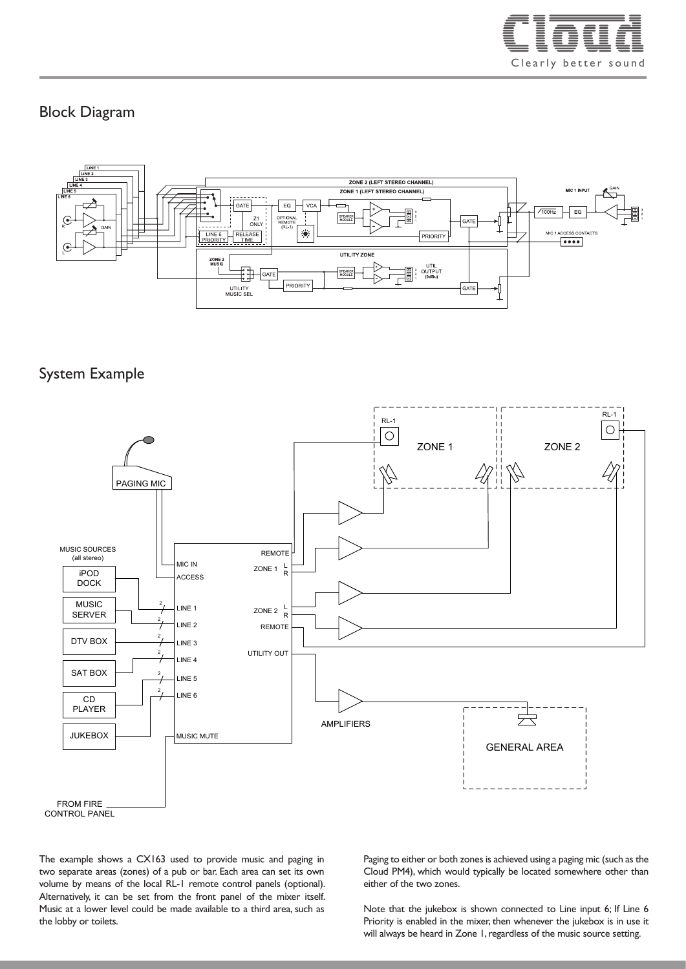

#### Block Diagram



## System Example



CONTROL PANEL

The example shows a CX163 used to provide music and paging in two separate areas (zones) of a pub or bar. Each area can set its own volume by means of the local RL-1 remote control panels (optional). Alternatively, it can be set from the front panel of the mixer itself. Music at a lower level could be made available to a third area, such as the lobby or toilets.

Paging to either or both zones is achieved using a paging mic (such as the Cloud PM4), which would typically be located somewhere other than either of the two zones.

Note that the jukebox is shown connected to Line input 6; If Line 6 Priority is enabled in the mixer, then whenever the jukebox is in use it will always be heard in Zone 1, regardless of the music source setting.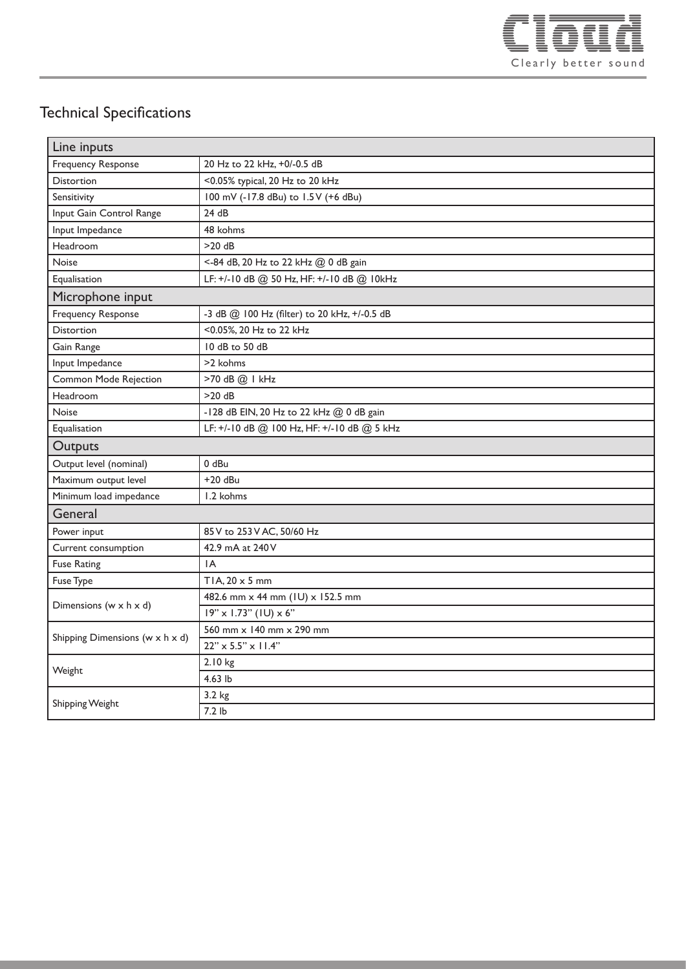

## Technical Specifications

| Line inputs                          |                                              |
|--------------------------------------|----------------------------------------------|
| <b>Frequency Response</b>            | 20 Hz to 22 kHz, +0/-0.5 dB                  |
| <b>Distortion</b>                    | <0.05% typical, 20 Hz to 20 kHz              |
| Sensitivity                          | 100 mV (-17.8 dBu) to 1.5 V (+6 dBu)         |
| Input Gain Control Range             | 24 dB                                        |
| Input Impedance                      | 48 kohms                                     |
| Headroom                             | $>20$ dB                                     |
| Noise                                | <- 84 dB, 20 Hz to 22 kHz @ 0 dB gain        |
| Equalisation                         | LF: +/-10 dB @ 50 Hz, HF: +/-10 dB @ 10kHz   |
| Microphone input                     |                                              |
| <b>Frequency Response</b>            | -3 dB @ 100 Hz (filter) to 20 kHz, +/-0.5 dB |
| <b>Distortion</b>                    | <0.05%, 20 Hz to 22 kHz                      |
| Gain Range                           | 10 dB to 50 dB                               |
| Input Impedance                      | >2 kohms                                     |
| Common Mode Rejection                | >70 dB @ I kHz                               |
| Headroom                             | $>20$ dB                                     |
| Noise                                | -128 dB EIN, 20 Hz to 22 kHz @ 0 dB gain     |
| Equalisation                         | LF: +/-10 dB @ 100 Hz, HF: +/-10 dB @ 5 kHz  |
| Outputs                              |                                              |
| Output level (nominal)               | 0 dBu                                        |
| Maximum output level                 | $+20$ dBu                                    |
| Minimum load impedance               | 1.2 kohms                                    |
| General                              |                                              |
| Power input                          | 85 V to 253 V AC, 50/60 Hz                   |
| Current consumption                  | 42.9 mA at 240 V                             |
| <b>Fuse Rating</b>                   | IA                                           |
| Fuse Type                            | TIA, $20 \times 5$ mm                        |
| Dimensions ( $w \times h \times d$ ) | 482.6 mm x 44 mm (IU) x 152.5 mm             |
|                                      | $19'' \times 1.73''$ (IU) $\times 6''$       |
| Shipping Dimensions (w x h x d)      | 560 mm x 140 mm x 290 mm                     |
|                                      | $22'' \times 5.5'' \times 11.4''$            |
| Weight                               | 2.10 kg                                      |
|                                      | 4.63 lb                                      |
| Shipping Weight                      | 3.2 kg                                       |
|                                      | $7.2$ lb                                     |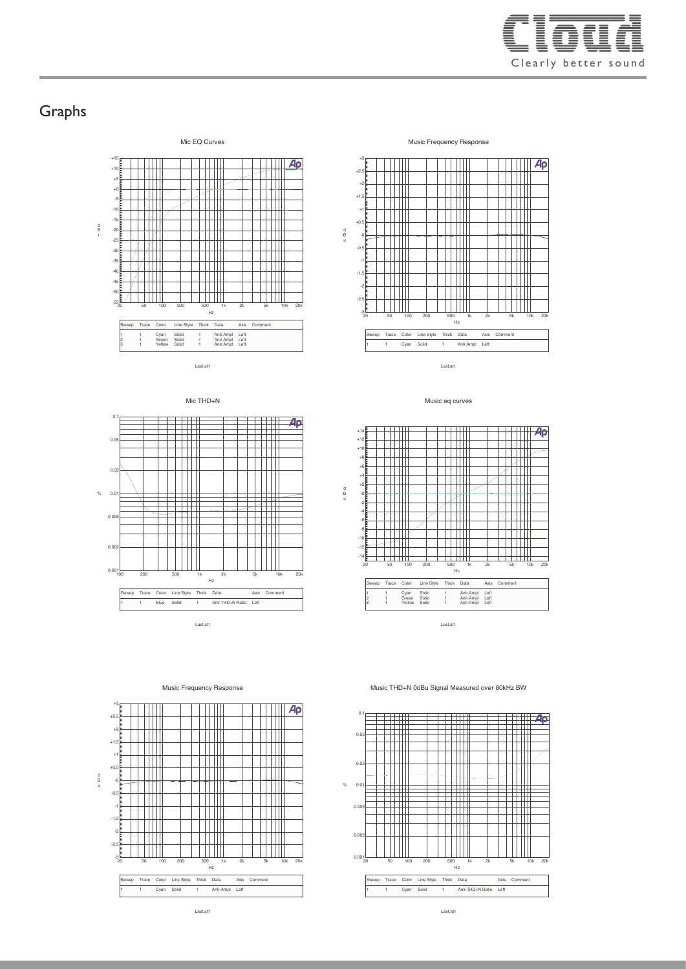

#### Graphs



Mic THD+N

Music Frequency Response







Last.at1



Last.at1



d B u

0.001

0.002

 $0.0$ 

 $0.01$ 

 $\alpha$ 

 $0.0$ 

 $0.05$ 

0.1

Last.at1

Music Frequency Response





Last.at1